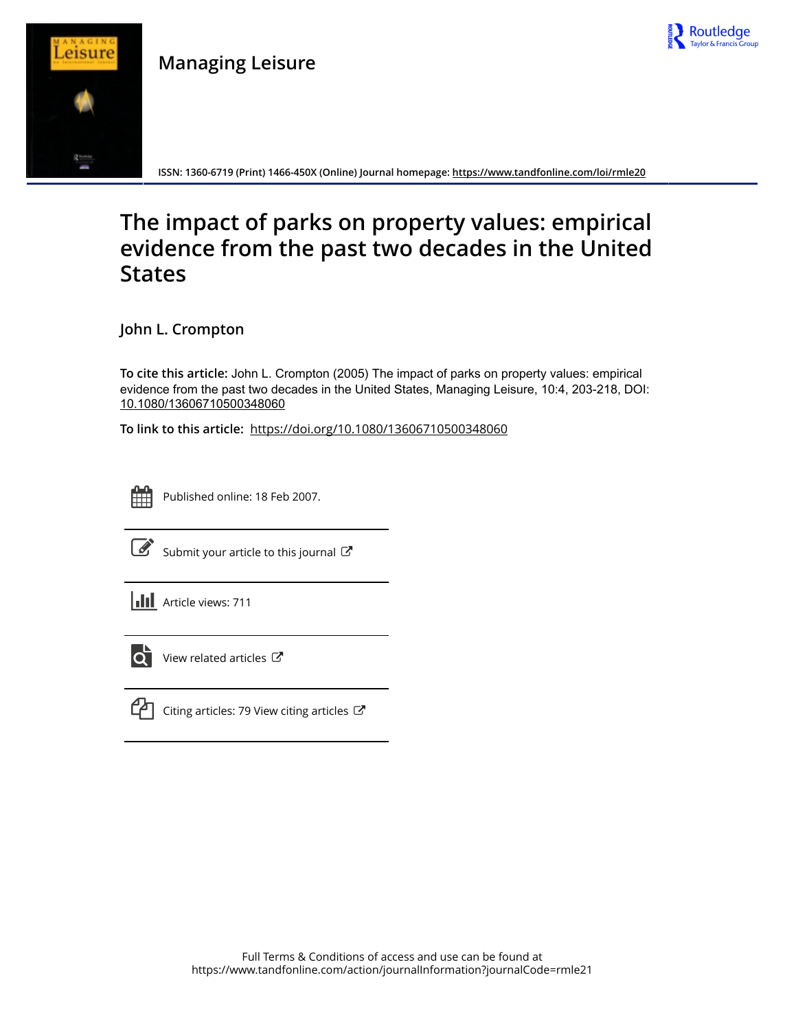

**Managing Leisure**



**ISSN: 1360-6719 (Print) 1466-450X (Online) Journal homepage: <https://www.tandfonline.com/loi/rmle20>**

# **The impact of parks on property values: empirical evidence from the past two decades in the United States**

**John L. Crompton**

**To cite this article:** John L. Crompton (2005) The impact of parks on property values: empirical evidence from the past two decades in the United States, Managing Leisure, 10:4, 203-218, DOI: [10.1080/13606710500348060](https://www.tandfonline.com/action/showCitFormats?doi=10.1080/13606710500348060)

**To link to this article:** <https://doi.org/10.1080/13606710500348060>



Published online: 18 Feb 2007.



 $\overrightarrow{S}$  [Submit your article to this journal](https://www.tandfonline.com/action/authorSubmission?journalCode=rmle21&show=instructions)  $\overrightarrow{S}$ 





 $\overline{\mathbf{C}}$  [View related articles](https://www.tandfonline.com/doi/mlt/10.1080/13606710500348060)  $\mathbf{C}$ 



[Citing articles: 79 View citing articles](https://www.tandfonline.com/doi/citedby/10.1080/13606710500348060#tabModule)  $\mathbb{Z}$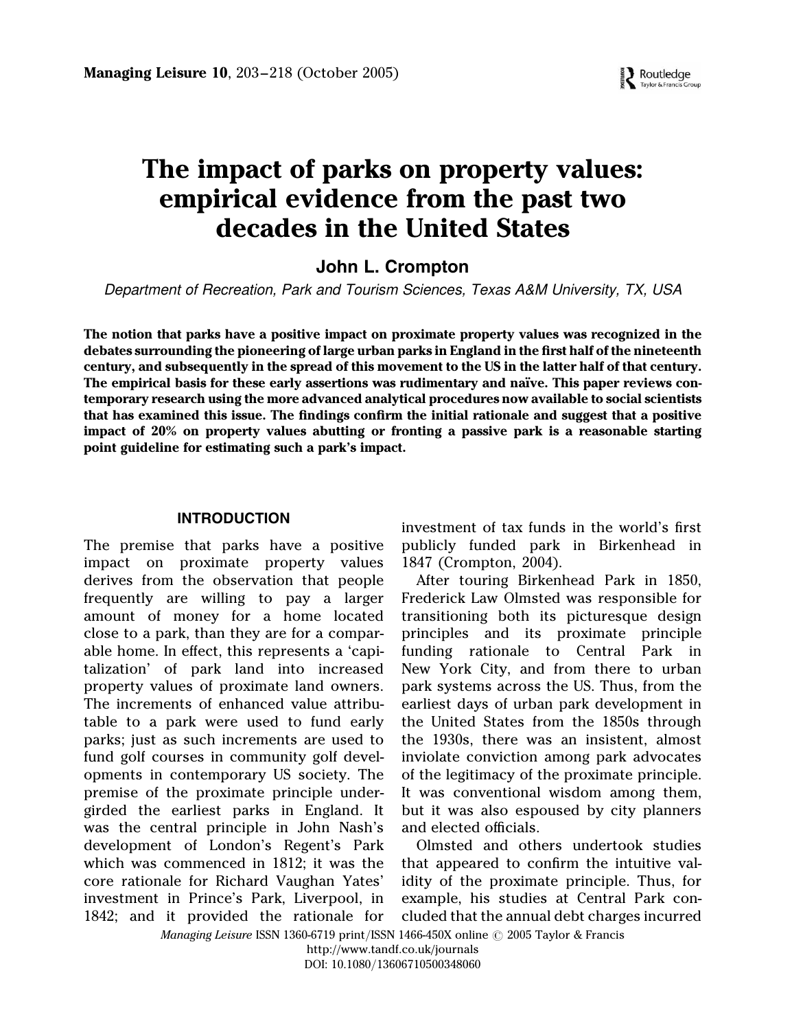## The impact of parks on property values: empirical evidence from the past two decades in the United States

### John L. Crompton

Department of Recreation, Park and Tourism Sciences, Texas A&M University, TX, USA

The notion that parks have a positive impact on proximate property values was recognized in the debates surrounding the pioneering of large urban parks in England in the first half of the nineteenth century, and subsequently in the spread of this movement to the US in the latter half of that century. The empirical basis for these early assertions was rudimentary and naïve. This paper reviews contemporary research using the more advanced analytical procedures now available to social scientists that has examined this issue. The findings confirm the initial rationale and suggest that a positive impact of 20% on property values abutting or fronting a passive park is a reasonable starting point guideline for estimating such a park's impact.

#### INTRODUCTION

The premise that parks have a positive impact on proximate property values derives from the observation that people frequently are willing to pay a larger amount of money for a home located close to a park, than they are for a comparable home. In effect, this represents a 'capitalization' of park land into increased property values of proximate land owners. The increments of enhanced value attributable to a park were used to fund early parks; just as such increments are used to fund golf courses in community golf developments in contemporary US society. The premise of the proximate principle undergirded the earliest parks in England. It was the central principle in John Nash's development of London's Regent's Park which was commenced in 1812; it was the core rationale for Richard Vaughan Yates' investment in Prince's Park, Liverpool, in 1842; and it provided the rationale for

investment of tax funds in the world's first publicly funded park in Birkenhead in 1847 (Crompton, 2004).

After touring Birkenhead Park in 1850, Frederick Law Olmsted was responsible for transitioning both its picturesque design principles and its proximate principle funding rationale to Central Park in New York City, and from there to urban park systems across the US. Thus, from the earliest days of urban park development in the United States from the 1850s through the 1930s, there was an insistent, almost inviolate conviction among park advocates of the legitimacy of the proximate principle. It was conventional wisdom among them, but it was also espoused by city planners and elected officials.

Olmsted and others undertook studies that appeared to confirm the intuitive validity of the proximate principle. Thus, for example, his studies at Central Park concluded that the annual debt charges incurred

Managing Leisure ISSN 1360-6719 print/ISSN 1466-450X online  $\oslash$  2005 Taylor & Francis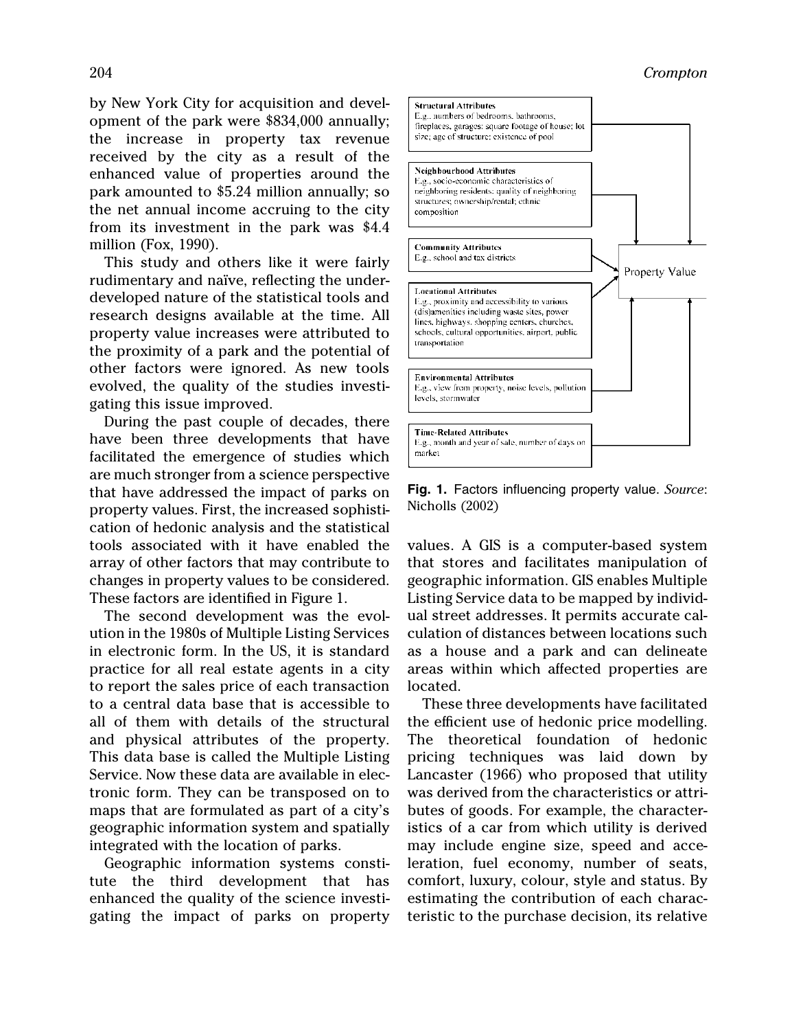by New York City for acquisition and development of the park were \$834,000 annually; the increase in property tax revenue received by the city as a result of the enhanced value of properties around the park amounted to \$5.24 million annually; so the net annual income accruing to the city from its investment in the park was \$4.4 million (Fox, 1990).

This study and others like it were fairly rudimentary and naïve, reflecting the underdeveloped nature of the statistical tools and research designs available at the time. All property value increases were attributed to the proximity of a park and the potential of other factors were ignored. As new tools evolved, the quality of the studies investigating this issue improved.

During the past couple of decades, there have been three developments that have facilitated the emergence of studies which are much stronger from a science perspective that have addressed the impact of parks on property values. First, the increased sophistication of hedonic analysis and the statistical tools associated with it have enabled the array of other factors that may contribute to changes in property values to be considered. These factors are identified in Figure 1.

The second development was the evolution in the 1980s of Multiple Listing Services in electronic form. In the US, it is standard practice for all real estate agents in a city to report the sales price of each transaction to a central data base that is accessible to all of them with details of the structural and physical attributes of the property. This data base is called the Multiple Listing Service. Now these data are available in electronic form. They can be transposed on to maps that are formulated as part of a city's geographic information system and spatially integrated with the location of parks.

Geographic information systems constitute the third development that has enhanced the quality of the science investigating the impact of parks on property



Fig. 1. Factors influencing property value. Source: Nicholls (2002)

values. A GIS is a computer-based system that stores and facilitates manipulation of geographic information. GIS enables Multiple Listing Service data to be mapped by individual street addresses. It permits accurate calculation of distances between locations such as a house and a park and can delineate areas within which affected properties are located.

These three developments have facilitated the efficient use of hedonic price modelling. The theoretical foundation of hedonic pricing techniques was laid down by Lancaster (1966) who proposed that utility was derived from the characteristics or attributes of goods. For example, the characteristics of a car from which utility is derived may include engine size, speed and acceleration, fuel economy, number of seats, comfort, luxury, colour, style and status. By estimating the contribution of each characteristic to the purchase decision, its relative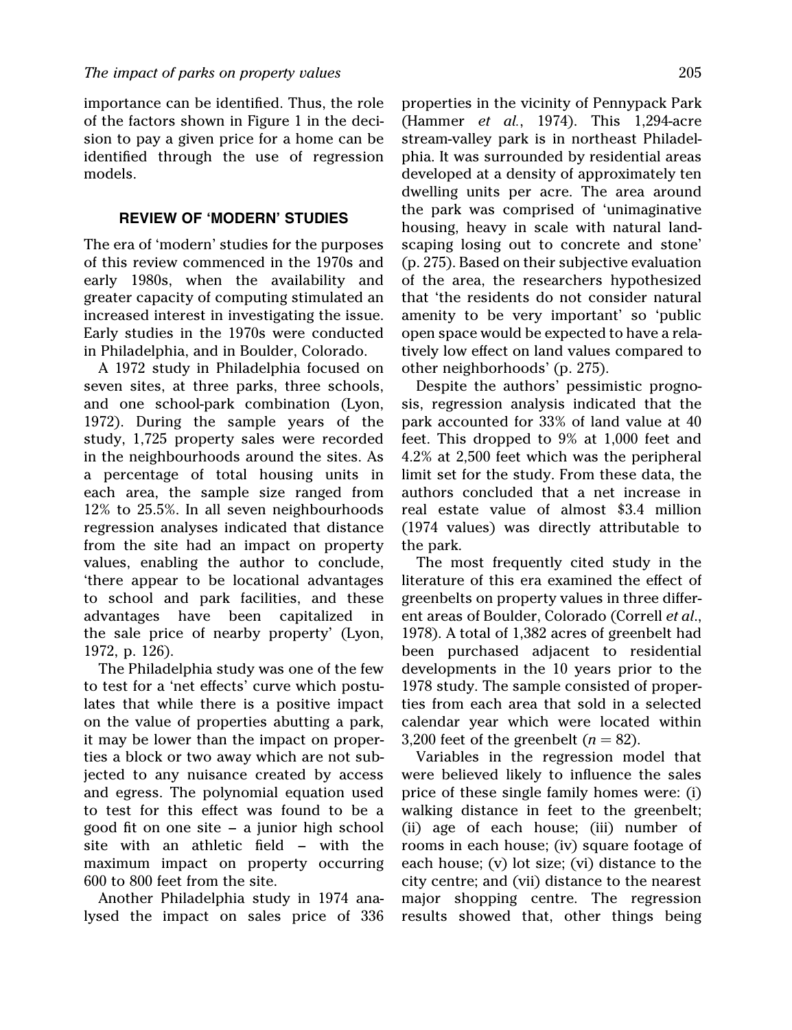importance can be identified. Thus, the role of the factors shown in Figure 1 in the decision to pay a given price for a home can be identified through the use of regression models.

#### REVIEW OF 'MODERN' STUDIES

The era of 'modern' studies for the purposes of this review commenced in the 1970s and early 1980s, when the availability and greater capacity of computing stimulated an increased interest in investigating the issue. Early studies in the 1970s were conducted in Philadelphia, and in Boulder, Colorado.

A 1972 study in Philadelphia focused on seven sites, at three parks, three schools, and one school-park combination (Lyon, 1972). During the sample years of the study, 1,725 property sales were recorded in the neighbourhoods around the sites. As a percentage of total housing units in each area, the sample size ranged from 12% to 25.5%. In all seven neighbourhoods regression analyses indicated that distance from the site had an impact on property values, enabling the author to conclude, 'there appear to be locational advantages to school and park facilities, and these advantages have been capitalized in the sale price of nearby property' (Lyon, 1972, p. 126).

The Philadelphia study was one of the few to test for a 'net effects' curve which postulates that while there is a positive impact on the value of properties abutting a park, it may be lower than the impact on properties a block or two away which are not subjected to any nuisance created by access and egress. The polynomial equation used to test for this effect was found to be a good fit on one site – a junior high school site with an athletic field – with the maximum impact on property occurring 600 to 800 feet from the site.

Another Philadelphia study in 1974 analysed the impact on sales price of 336 properties in the vicinity of Pennypack Park (Hammer et al., 1974). This 1,294-acre stream-valley park is in northeast Philadelphia. It was surrounded by residential areas developed at a density of approximately ten dwelling units per acre. The area around the park was comprised of 'unimaginative housing, heavy in scale with natural landscaping losing out to concrete and stone' (p. 275). Based on their subjective evaluation of the area, the researchers hypothesized that 'the residents do not consider natural amenity to be very important' so 'public open space would be expected to have a relatively low effect on land values compared to other neighborhoods' (p. 275).

Despite the authors' pessimistic prognosis, regression analysis indicated that the park accounted for 33% of land value at 40 feet. This dropped to 9% at 1,000 feet and 4.2% at 2,500 feet which was the peripheral limit set for the study. From these data, the authors concluded that a net increase in real estate value of almost \$3.4 million (1974 values) was directly attributable to the park.

The most frequently cited study in the literature of this era examined the effect of greenbelts on property values in three different areas of Boulder, Colorado (Correll et al., 1978). A total of 1,382 acres of greenbelt had been purchased adjacent to residential developments in the 10 years prior to the 1978 study. The sample consisted of properties from each area that sold in a selected calendar year which were located within 3,200 feet of the greenbelt  $(n = 82)$ .

Variables in the regression model that were believed likely to influence the sales price of these single family homes were: (i) walking distance in feet to the greenbelt; (ii) age of each house; (iii) number of rooms in each house; (iv) square footage of each house; (v) lot size; (vi) distance to the city centre; and (vii) distance to the nearest major shopping centre. The regression results showed that, other things being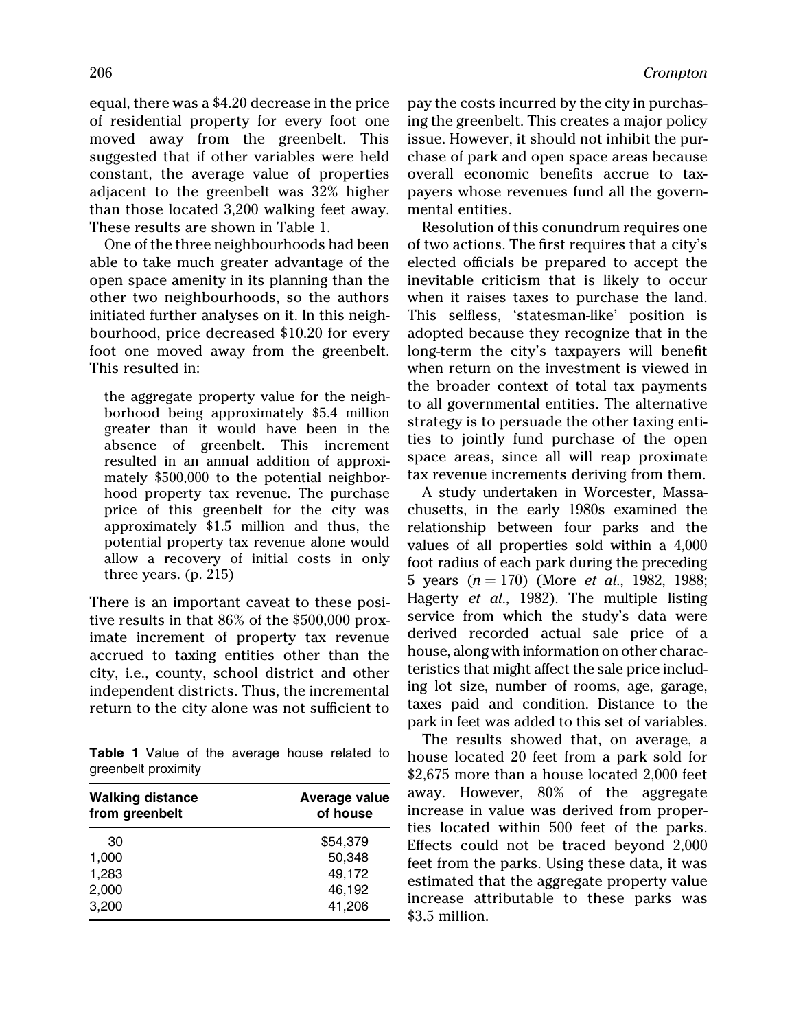equal, there was a \$4.20 decrease in the price of residential property for every foot one moved away from the greenbelt. This suggested that if other variables were held constant, the average value of properties adjacent to the greenbelt was 32% higher than those located 3,200 walking feet away. These results are shown in Table 1.

One of the three neighbourhoods had been able to take much greater advantage of the open space amenity in its planning than the other two neighbourhoods, so the authors initiated further analyses on it. In this neighbourhood, price decreased \$10.20 for every foot one moved away from the greenbelt. This resulted in:

the aggregate property value for the neighborhood being approximately \$5.4 million greater than it would have been in the absence of greenbelt. This increment resulted in an annual addition of approximately \$500,000 to the potential neighborhood property tax revenue. The purchase price of this greenbelt for the city was approximately \$1.5 million and thus, the potential property tax revenue alone would allow a recovery of initial costs in only three years. (p. 215)

There is an important caveat to these positive results in that 86% of the \$500,000 proximate increment of property tax revenue accrued to taxing entities other than the city, i.e., county, school district and other independent districts. Thus, the incremental return to the city alone was not sufficient to

Table 1 Value of the average house related to greenbelt proximity

| <b>Walking distance</b><br>from greenbelt | Average value<br>of house |  |  |
|-------------------------------------------|---------------------------|--|--|
| 30                                        | \$54,379                  |  |  |
| 1,000                                     | 50.348                    |  |  |
| 1,283                                     | 49,172                    |  |  |
| 2,000                                     | 46,192                    |  |  |
| 3,200                                     | 41,206                    |  |  |

pay the costs incurred by the city in purchasing the greenbelt. This creates a major policy issue. However, it should not inhibit the purchase of park and open space areas because overall economic benefits accrue to taxpayers whose revenues fund all the governmental entities.

Resolution of this conundrum requires one of two actions. The first requires that a city's elected officials be prepared to accept the inevitable criticism that is likely to occur when it raises taxes to purchase the land. This selfless, 'statesman-like' position is adopted because they recognize that in the long-term the city's taxpayers will benefit when return on the investment is viewed in the broader context of total tax payments to all governmental entities. The alternative strategy is to persuade the other taxing entities to jointly fund purchase of the open space areas, since all will reap proximate tax revenue increments deriving from them.

A study undertaken in Worcester, Massachusetts, in the early 1980s examined the relationship between four parks and the values of all properties sold within a 4,000 foot radius of each park during the preceding 5 years  $(n = 170)$  (More *et al.*, 1982, 1988; Hagerty et al., 1982). The multiple listing service from which the study's data were derived recorded actual sale price of a house, along with information on other characteristics that might affect the sale price including lot size, number of rooms, age, garage, taxes paid and condition. Distance to the park in feet was added to this set of variables.

The results showed that, on average, a house located 20 feet from a park sold for \$2,675 more than a house located 2,000 feet away. However, 80% of the aggregate increase in value was derived from properties located within 500 feet of the parks. Effects could not be traced beyond 2,000 feet from the parks. Using these data, it was estimated that the aggregate property value increase attributable to these parks was \$3.5 million.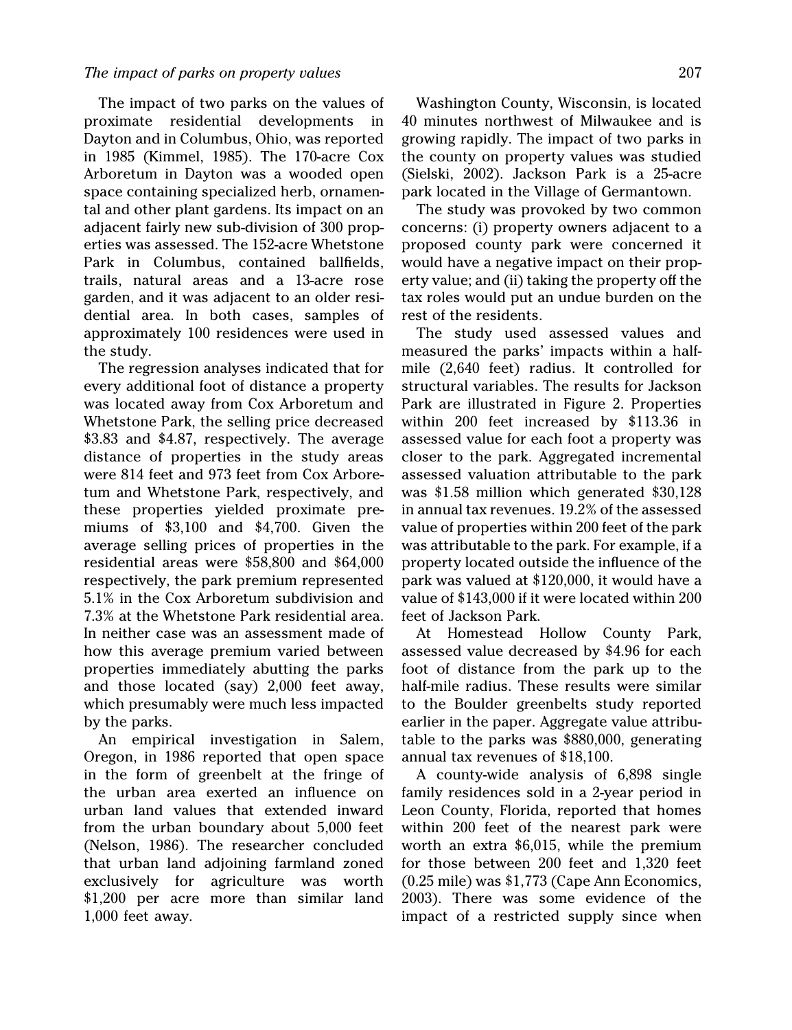The impact of two parks on the values of proximate residential developments in Dayton and in Columbus, Ohio, was reported in 1985 (Kimmel, 1985). The 170-acre Cox Arboretum in Dayton was a wooded open space containing specialized herb, ornamental and other plant gardens. Its impact on an adjacent fairly new sub-division of 300 properties was assessed. The 152-acre Whetstone Park in Columbus, contained ballfields, trails, natural areas and a 13-acre rose garden, and it was adjacent to an older residential area. In both cases, samples of approximately 100 residences were used in the study.

The regression analyses indicated that for every additional foot of distance a property was located away from Cox Arboretum and Whetstone Park, the selling price decreased \$3.83 and \$4.87, respectively. The average distance of properties in the study areas were 814 feet and 973 feet from Cox Arboretum and Whetstone Park, respectively, and these properties yielded proximate premiums of \$3,100 and \$4,700. Given the average selling prices of properties in the residential areas were \$58,800 and \$64,000 respectively, the park premium represented 5.1% in the Cox Arboretum subdivision and 7.3% at the Whetstone Park residential area. In neither case was an assessment made of how this average premium varied between properties immediately abutting the parks and those located (say) 2,000 feet away, which presumably were much less impacted by the parks.

An empirical investigation in Salem, Oregon, in 1986 reported that open space in the form of greenbelt at the fringe of the urban area exerted an influence on urban land values that extended inward from the urban boundary about 5,000 feet (Nelson, 1986). The researcher concluded that urban land adjoining farmland zoned exclusively for agriculture was worth \$1,200 per acre more than similar land 1,000 feet away.

Washington County, Wisconsin, is located 40 minutes northwest of Milwaukee and is growing rapidly. The impact of two parks in the county on property values was studied (Sielski, 2002). Jackson Park is a 25-acre park located in the Village of Germantown.

The study was provoked by two common concerns: (i) property owners adjacent to a proposed county park were concerned it would have a negative impact on their property value; and (ii) taking the property off the tax roles would put an undue burden on the rest of the residents.

The study used assessed values and measured the parks' impacts within a halfmile (2,640 feet) radius. It controlled for structural variables. The results for Jackson Park are illustrated in Figure 2. Properties within 200 feet increased by \$113.36 in assessed value for each foot a property was closer to the park. Aggregated incremental assessed valuation attributable to the park was \$1.58 million which generated \$30,128 in annual tax revenues. 19.2% of the assessed value of properties within 200 feet of the park was attributable to the park. For example, if a property located outside the influence of the park was valued at \$120,000, it would have a value of \$143,000 if it were located within 200 feet of Jackson Park.

At Homestead Hollow County Park, assessed value decreased by \$4.96 for each foot of distance from the park up to the half-mile radius. These results were similar to the Boulder greenbelts study reported earlier in the paper. Aggregate value attributable to the parks was \$880,000, generating annual tax revenues of \$18,100.

A county-wide analysis of 6,898 single family residences sold in a 2-year period in Leon County, Florida, reported that homes within 200 feet of the nearest park were worth an extra \$6,015, while the premium for those between 200 feet and 1,320 feet (0.25 mile) was \$1,773 (Cape Ann Economics, 2003). There was some evidence of the impact of a restricted supply since when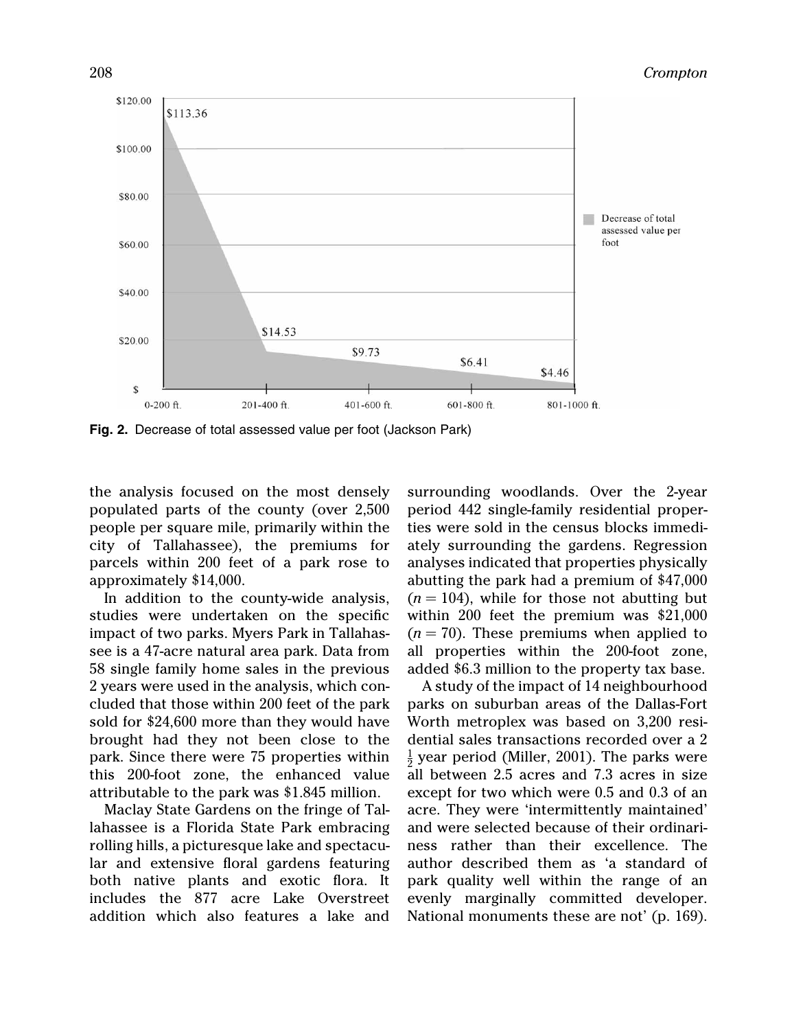

Fig. 2. Decrease of total assessed value per foot (Jackson Park)

the analysis focused on the most densely populated parts of the county (over 2,500 people per square mile, primarily within the city of Tallahassee), the premiums for parcels within 200 feet of a park rose to approximately \$14,000.

In addition to the county-wide analysis, studies were undertaken on the specific impact of two parks. Myers Park in Tallahassee is a 47-acre natural area park. Data from 58 single family home sales in the previous 2 years were used in the analysis, which concluded that those within 200 feet of the park sold for \$24,600 more than they would have brought had they not been close to the park. Since there were 75 properties within this 200-foot zone, the enhanced value attributable to the park was \$1.845 million.

Maclay State Gardens on the fringe of Tallahassee is a Florida State Park embracing rolling hills, a picturesque lake and spectacular and extensive floral gardens featuring both native plants and exotic flora. It includes the 877 acre Lake Overstreet addition which also features a lake and surrounding woodlands. Over the 2-year period 442 single-family residential properties were sold in the census blocks immediately surrounding the gardens. Regression analyses indicated that properties physically abutting the park had a premium of \$47,000  $(n = 104)$ , while for those not abutting but within 200 feet the premium was \$21,000  $(n = 70)$ . These premiums when applied to all properties within the 200-foot zone, added \$6.3 million to the property tax base.

A study of the impact of 14 neighbourhood parks on suburban areas of the Dallas-Fort Worth metroplex was based on 3,200 residential sales transactions recorded over a 2  $\frac{1}{2}$  year period (Miller, 2001). The parks were all between 2.5 acres and 7.3 acres in size except for two which were 0.5 and 0.3 of an acre. They were 'intermittently maintained' and were selected because of their ordinariness rather than their excellence. The author described them as 'a standard of park quality well within the range of an evenly marginally committed developer. National monuments these are not' (p. 169).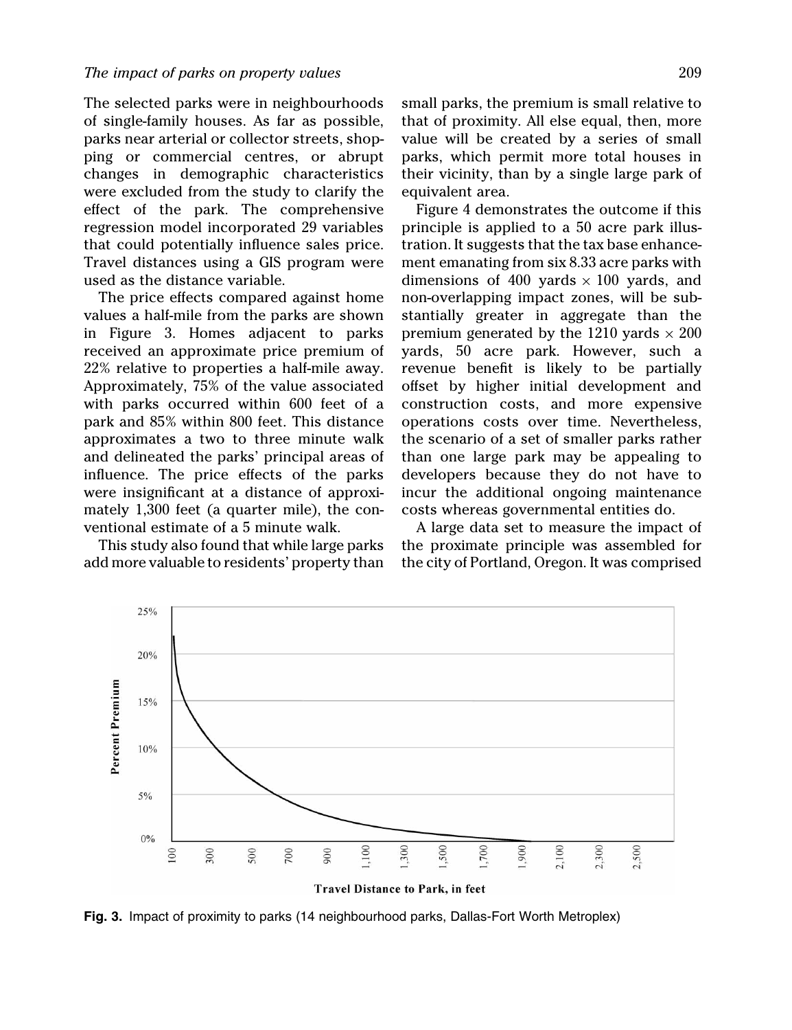The selected parks were in neighbourhoods of single-family houses. As far as possible, parks near arterial or collector streets, shopping or commercial centres, or abrupt changes in demographic characteristics were excluded from the study to clarify the effect of the park. The comprehensive regression model incorporated 29 variables that could potentially influence sales price. Travel distances using a GIS program were used as the distance variable.

The price effects compared against home values a half-mile from the parks are shown in Figure 3. Homes adjacent to parks received an approximate price premium of 22% relative to properties a half-mile away. Approximately, 75% of the value associated with parks occurred within 600 feet of a park and 85% within 800 feet. This distance approximates a two to three minute walk and delineated the parks' principal areas of influence. The price effects of the parks were insignificant at a distance of approximately 1,300 feet (a quarter mile), the conventional estimate of a 5 minute walk.

This study also found that while large parks add more valuable to residents' property than small parks, the premium is small relative to that of proximity. All else equal, then, more value will be created by a series of small parks, which permit more total houses in their vicinity, than by a single large park of equivalent area.

Figure 4 demonstrates the outcome if this principle is applied to a 50 acre park illustration. It suggests that the tax base enhancement emanating from six 8.33 acre parks with dimensions of 400 vards  $\times$  100 vards, and non-overlapping impact zones, will be substantially greater in aggregate than the premium generated by the 1210 yards  $\times$  200 yards, 50 acre park. However, such a revenue benefit is likely to be partially offset by higher initial development and construction costs, and more expensive operations costs over time. Nevertheless, the scenario of a set of smaller parks rather than one large park may be appealing to developers because they do not have to incur the additional ongoing maintenance costs whereas governmental entities do.

A large data set to measure the impact of the proximate principle was assembled for the city of Portland, Oregon. It was comprised



Fig. 3. Impact of proximity to parks (14 neighbourhood parks, Dallas-Fort Worth Metroplex)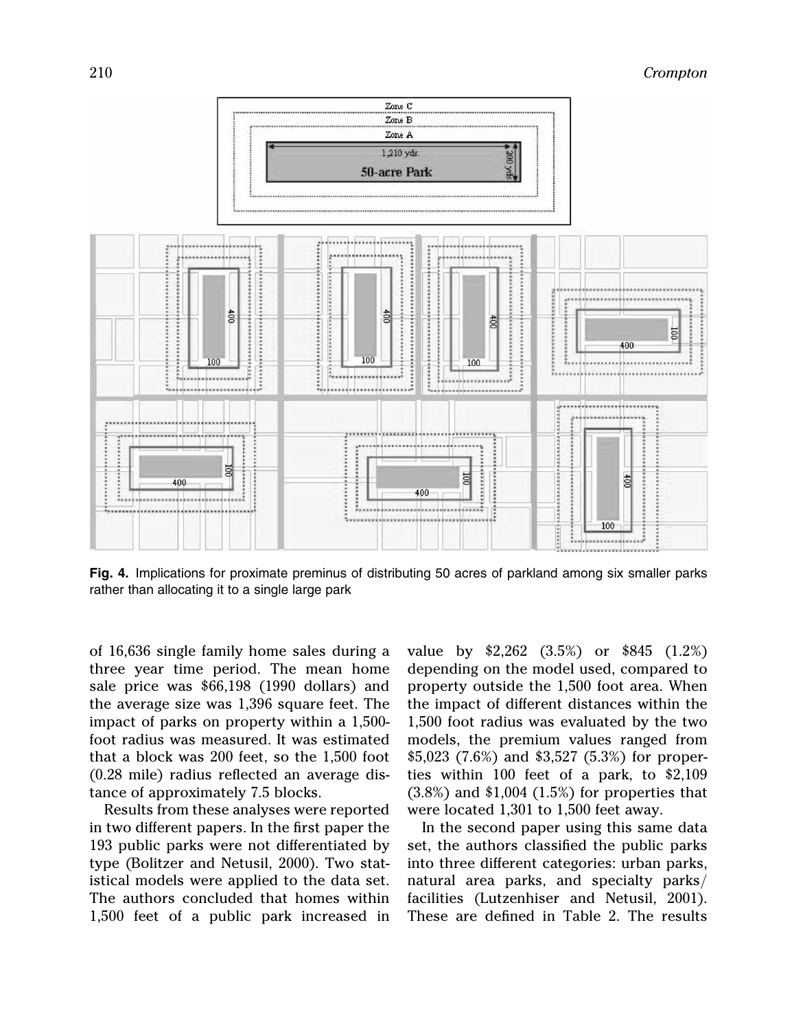

Fig. 4. Implications for proximate preminus of distributing 50 acres of parkland among six smaller parks rather than allocating it to a single large park

of 16,636 single family home sales during a three year time period. The mean home sale price was \$66,198 (1990 dollars) and the average size was 1,396 square feet. The impact of parks on property within a 1,500 foot radius was measured. It was estimated that a block was 200 feet, so the 1,500 foot (0.28 mile) radius reflected an average distance of approximately 7.5 blocks.

Results from these analyses were reported in two different papers. In the first paper the 193 public parks were not differentiated by type (Bolitzer and Netusil, 2000). Two statistical models were applied to the data set. The authors concluded that homes within 1,500 feet of a public park increased in value by \$2,262 (3.5%) or \$845 (1.2%) depending on the model used, compared to property outside the 1,500 foot area. When the impact of different distances within the 1,500 foot radius was evaluated by the two models, the premium values ranged from \$5,023 (7.6%) and \$3,527 (5.3%) for properties within 100 feet of a park, to \$2,109 (3.8%) and \$1,004 (1.5%) for properties that were located 1,301 to 1,500 feet away.

In the second paper using this same data set, the authors classified the public parks into three different categories: urban parks, natural area parks, and specialty parks/ facilities (Lutzenhiser and Netusil, 2001). These are defined in Table 2. The results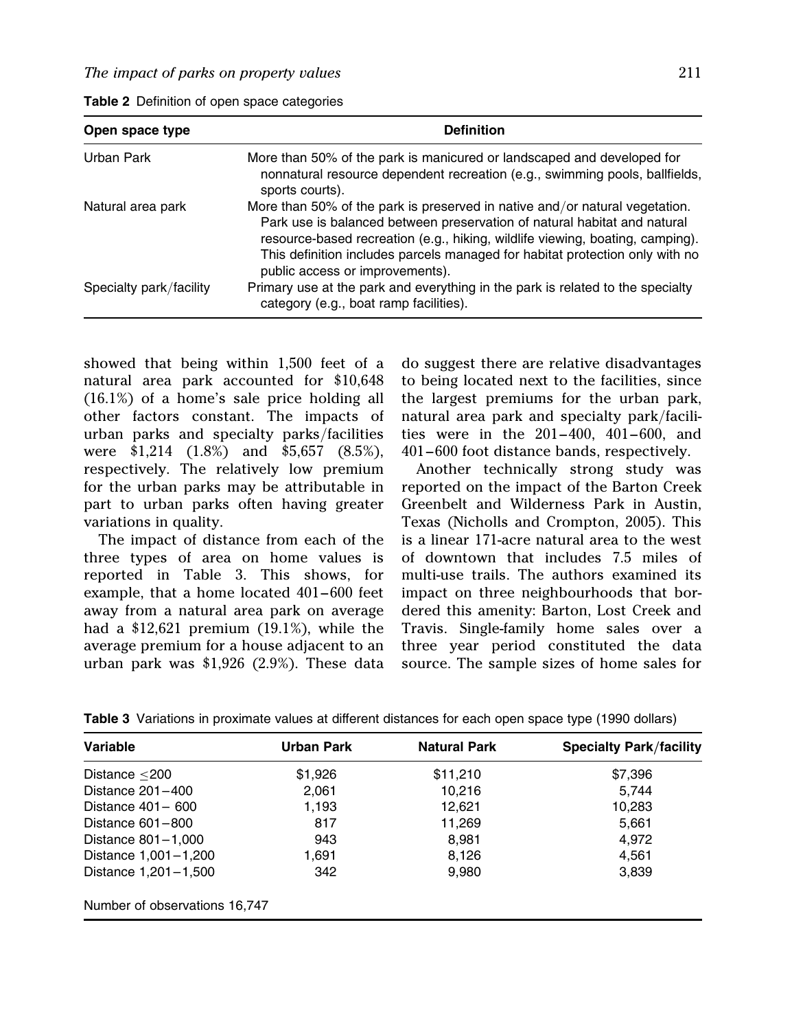| Open space type         | <b>Definition</b>                                                                                                                                                                                                                                                                                                                                           |
|-------------------------|-------------------------------------------------------------------------------------------------------------------------------------------------------------------------------------------------------------------------------------------------------------------------------------------------------------------------------------------------------------|
| Urban Park              | More than 50% of the park is manicured or landscaped and developed for<br>nonnatural resource dependent recreation (e.g., swimming pools, ballfields,<br>sports courts).                                                                                                                                                                                    |
| Natural area park       | More than 50% of the park is preserved in native and/or natural vegetation.<br>Park use is balanced between preservation of natural habitat and natural<br>resource-based recreation (e.g., hiking, wildlife viewing, boating, camping).<br>This definition includes parcels managed for habitat protection only with no<br>public access or improvements). |
| Specialty park/facility | Primary use at the park and everything in the park is related to the specialty<br>category (e.g., boat ramp facilities).                                                                                                                                                                                                                                    |

|  | Table 2 Definition of open space categories |  |  |  |  |
|--|---------------------------------------------|--|--|--|--|
|--|---------------------------------------------|--|--|--|--|

showed that being within 1,500 feet of a natural area park accounted for \$10,648 (16.1%) of a home's sale price holding all other factors constant. The impacts of urban parks and specialty parks/facilities were \$1,214 (1.8%) and \$5,657 (8.5%), respectively. The relatively low premium for the urban parks may be attributable in part to urban parks often having greater variations in quality.

The impact of distance from each of the three types of area on home values is reported in Table 3. This shows, for example, that a home located 401–600 feet away from a natural area park on average had a \$12,621 premium (19.1%), while the average premium for a house adjacent to an urban park was \$1,926 (2.9%). These data do suggest there are relative disadvantages to being located next to the facilities, since the largest premiums for the urban park, natural area park and specialty park/facilities were in the 201–400, 401–600, and 401–600 foot distance bands, respectively.

Another technically strong study was reported on the impact of the Barton Creek Greenbelt and Wilderness Park in Austin, Texas (Nicholls and Crompton, 2005). This is a linear 171-acre natural area to the west of downtown that includes 7.5 miles of multi-use trails. The authors examined its impact on three neighbourhoods that bordered this amenity: Barton, Lost Creek and Travis. Single-family home sales over a three year period constituted the data source. The sample sizes of home sales for

| <b>Variable</b>               | Urban Park | <b>Natural Park</b> | <b>Specialty Park/facility</b> |  |
|-------------------------------|------------|---------------------|--------------------------------|--|
| Distance $<$ 200              | \$1,926    | \$11,210            | \$7,396                        |  |
| Distance $201 - 400$          | 2,061      | 10.216              | 5.744                          |  |
| Distance $401 - 600$          | 1,193      | 12,621              | 10,283                         |  |
| Distance $601 - 800$          | 817        | 11,269              | 5,661                          |  |
| Distance 801-1,000            | 943        | 8,981               | 4,972                          |  |
| Distance 1,001-1,200          | 1.691      | 8,126               | 4.561                          |  |
| Distance 1,201-1,500          | 342        | 9,980               | 3,839                          |  |
| Number of observations 16,747 |            |                     |                                |  |

Table 3 Variations in proximate values at different distances for each open space type (1990 dollars)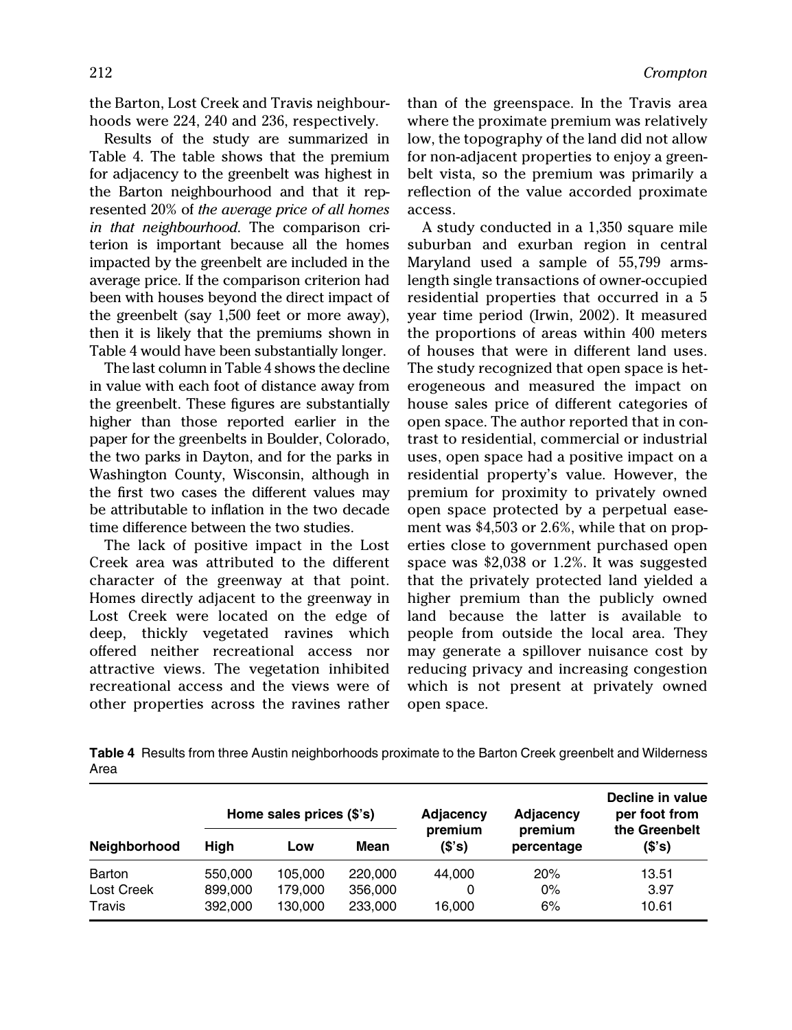the Barton, Lost Creek and Travis neighbourhoods were 224, 240 and 236, respectively.

Results of the study are summarized in Table 4. The table shows that the premium for adjacency to the greenbelt was highest in the Barton neighbourhood and that it represented 20% of the average price of all homes in that neighbourhood. The comparison criterion is important because all the homes impacted by the greenbelt are included in the average price. If the comparison criterion had been with houses beyond the direct impact of the greenbelt (say 1,500 feet or more away), then it is likely that the premiums shown in Table 4 would have been substantially longer.

The last column in Table 4 shows the decline in value with each foot of distance away from the greenbelt. These figures are substantially higher than those reported earlier in the paper for the greenbelts in Boulder, Colorado, the two parks in Dayton, and for the parks in Washington County, Wisconsin, although in the first two cases the different values may be attributable to inflation in the two decade time difference between the two studies.

The lack of positive impact in the Lost Creek area was attributed to the different character of the greenway at that point. Homes directly adjacent to the greenway in Lost Creek were located on the edge of deep, thickly vegetated ravines which offered neither recreational access nor attractive views. The vegetation inhibited recreational access and the views were of other properties across the ravines rather than of the greenspace. In the Travis area where the proximate premium was relatively low, the topography of the land did not allow for non-adjacent properties to enjoy a greenbelt vista, so the premium was primarily a reflection of the value accorded proximate access.

A study conducted in a 1,350 square mile suburban and exurban region in central Maryland used a sample of 55,799 armslength single transactions of owner-occupied residential properties that occurred in a 5 year time period (Irwin, 2002). It measured the proportions of areas within 400 meters of houses that were in different land uses. The study recognized that open space is heterogeneous and measured the impact on house sales price of different categories of open space. The author reported that in contrast to residential, commercial or industrial uses, open space had a positive impact on a residential property's value. However, the premium for proximity to privately owned open space protected by a perpetual easement was \$4,503 or 2.6%, while that on properties close to government purchased open space was \$2,038 or 1.2%. It was suggested that the privately protected land yielded a higher premium than the publicly owned land because the latter is available to people from outside the local area. They may generate a spillover nuisance cost by reducing privacy and increasing congestion which is not present at privately owned open space.

Table 4 Results from three Austin neighborhoods proximate to the Barton Creek greenbelt and Wilderness Area

| <b>Neighborhood</b> | Home sales prices (\$'s) |         |         | Adjacency        | Adjacency             | Decline in value<br>per foot from |
|---------------------|--------------------------|---------|---------|------------------|-----------------------|-----------------------------------|
|                     | Hiah                     | Low     | Mean    | premium<br>(S's) | premium<br>percentage | the Greenbelt<br>(\$'s)           |
| Barton              | 550,000                  | 105.000 | 220,000 | 44.000           | 20%                   | 13.51                             |
| Lost Creek          | 899,000                  | 179,000 | 356,000 | 0                | $0\%$                 | 3.97                              |
| Travis              | 392,000                  | 130,000 | 233,000 | 16.000           | 6%                    | 10.61                             |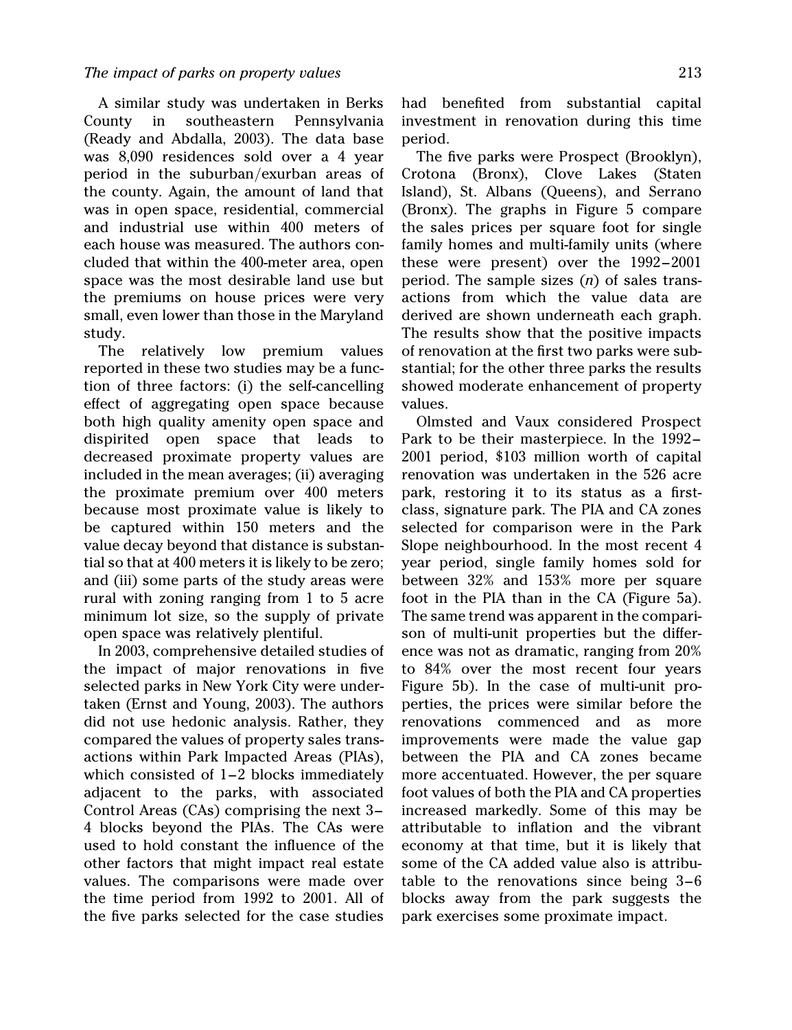A similar study was undertaken in Berks County in southeastern Pennsylvania (Ready and Abdalla, 2003). The data base was 8,090 residences sold over a 4 year period in the suburban/exurban areas of the county. Again, the amount of land that was in open space, residential, commercial and industrial use within 400 meters of each house was measured. The authors concluded that within the 400-meter area, open space was the most desirable land use but the premiums on house prices were very small, even lower than those in the Maryland study.

The relatively low premium values reported in these two studies may be a function of three factors: (i) the self-cancelling effect of aggregating open space because both high quality amenity open space and dispirited open space that leads to decreased proximate property values are included in the mean averages; (ii) averaging the proximate premium over 400 meters because most proximate value is likely to be captured within 150 meters and the value decay beyond that distance is substantial so that at 400 meters it is likely to be zero; and (iii) some parts of the study areas were rural with zoning ranging from 1 to 5 acre minimum lot size, so the supply of private open space was relatively plentiful.

In 2003, comprehensive detailed studies of the impact of major renovations in five selected parks in New York City were undertaken (Ernst and Young, 2003). The authors did not use hedonic analysis. Rather, they compared the values of property sales transactions within Park Impacted Areas (PIAs), which consisted of 1-2 blocks immediately adjacent to the parks, with associated Control Areas (CAs) comprising the next 3– 4 blocks beyond the PIAs. The CAs were used to hold constant the influence of the other factors that might impact real estate values. The comparisons were made over the time period from 1992 to 2001. All of the five parks selected for the case studies

had benefited from substantial capital investment in renovation during this time period.

The five parks were Prospect (Brooklyn), Crotona (Bronx), Clove Lakes (Staten Island), St. Albans (Queens), and Serrano (Bronx). The graphs in Figure 5 compare the sales prices per square foot for single family homes and multi-family units (where these were present) over the 1992–2001 period. The sample sizes  $(n)$  of sales transactions from which the value data are derived are shown underneath each graph. The results show that the positive impacts of renovation at the first two parks were substantial; for the other three parks the results showed moderate enhancement of property values.

Olmsted and Vaux considered Prospect Park to be their masterpiece. In the 1992– 2001 period, \$103 million worth of capital renovation was undertaken in the 526 acre park, restoring it to its status as a firstclass, signature park. The PIA and CA zones selected for comparison were in the Park Slope neighbourhood. In the most recent 4 year period, single family homes sold for between 32% and 153% more per square foot in the PIA than in the CA (Figure 5a). The same trend was apparent in the comparison of multi-unit properties but the difference was not as dramatic, ranging from 20% to 84% over the most recent four years Figure 5b). In the case of multi-unit properties, the prices were similar before the renovations commenced and as more improvements were made the value gap between the PIA and CA zones became more accentuated. However, the per square foot values of both the PIA and CA properties increased markedly. Some of this may be attributable to inflation and the vibrant economy at that time, but it is likely that some of the CA added value also is attributable to the renovations since being 3–6 blocks away from the park suggests the park exercises some proximate impact.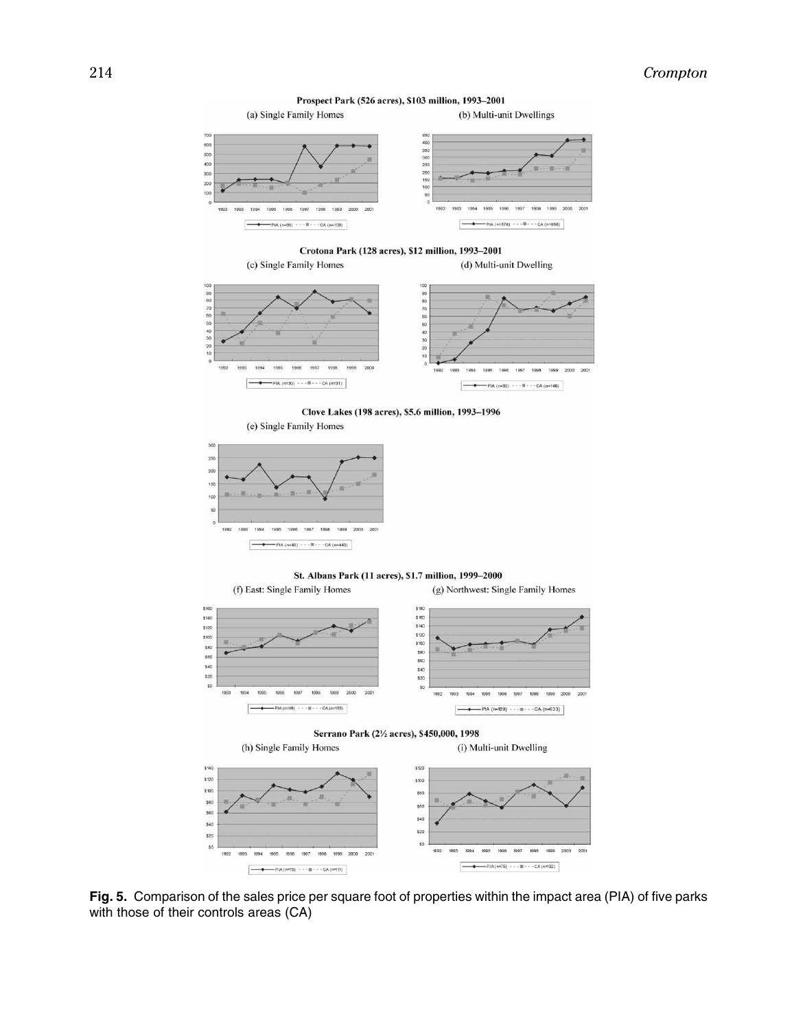

Fig. 5. Comparison of the sales price per square foot of properties within the impact area (PIA) of five parks with those of their controls areas (CA)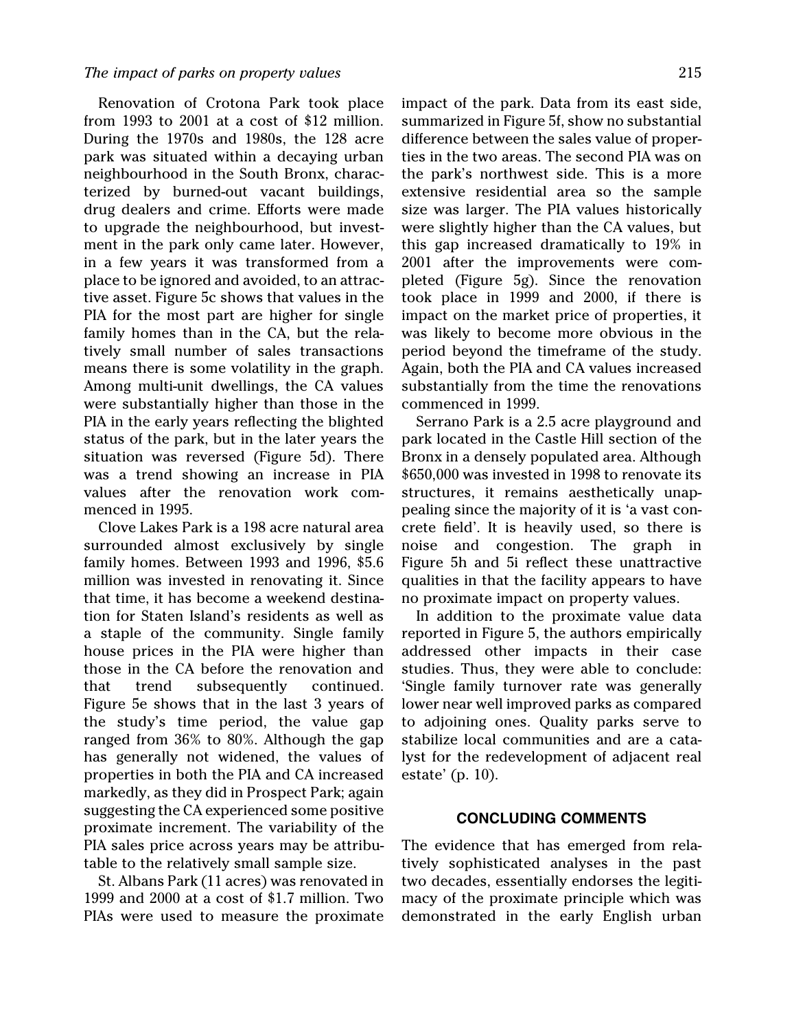Renovation of Crotona Park took place from 1993 to 2001 at a cost of \$12 million. During the 1970s and 1980s, the 128 acre park was situated within a decaying urban neighbourhood in the South Bronx, characterized by burned-out vacant buildings, drug dealers and crime. Efforts were made to upgrade the neighbourhood, but investment in the park only came later. However, in a few years it was transformed from a place to be ignored and avoided, to an attractive asset. Figure 5c shows that values in the PIA for the most part are higher for single family homes than in the CA, but the relatively small number of sales transactions means there is some volatility in the graph. Among multi-unit dwellings, the CA values were substantially higher than those in the PIA in the early years reflecting the blighted status of the park, but in the later years the situation was reversed (Figure 5d). There was a trend showing an increase in PIA values after the renovation work commenced in 1995.

Clove Lakes Park is a 198 acre natural area surrounded almost exclusively by single family homes. Between 1993 and 1996, \$5.6 million was invested in renovating it. Since that time, it has become a weekend destination for Staten Island's residents as well as a staple of the community. Single family house prices in the PIA were higher than those in the CA before the renovation and that trend subsequently continued. Figure 5e shows that in the last 3 years of the study's time period, the value gap ranged from 36% to 80%. Although the gap has generally not widened, the values of properties in both the PIA and CA increased markedly, as they did in Prospect Park; again suggesting the CA experienced some positive proximate increment. The variability of the PIA sales price across years may be attributable to the relatively small sample size.

St. Albans Park (11 acres) was renovated in 1999 and 2000 at a cost of \$1.7 million. Two PIAs were used to measure the proximate impact of the park. Data from its east side, summarized in Figure 5f, show no substantial difference between the sales value of properties in the two areas. The second PIA was on the park's northwest side. This is a more extensive residential area so the sample size was larger. The PIA values historically were slightly higher than the CA values, but this gap increased dramatically to 19% in 2001 after the improvements were completed (Figure 5g). Since the renovation took place in 1999 and 2000, if there is impact on the market price of properties, it was likely to become more obvious in the period beyond the timeframe of the study. Again, both the PIA and CA values increased substantially from the time the renovations commenced in 1999.

Serrano Park is a 2.5 acre playground and park located in the Castle Hill section of the Bronx in a densely populated area. Although \$650,000 was invested in 1998 to renovate its structures, it remains aesthetically unappealing since the majority of it is 'a vast concrete field'. It is heavily used, so there is noise and congestion. The graph in Figure 5h and 5i reflect these unattractive qualities in that the facility appears to have no proximate impact on property values.

In addition to the proximate value data reported in Figure 5, the authors empirically addressed other impacts in their case studies. Thus, they were able to conclude: 'Single family turnover rate was generally lower near well improved parks as compared to adjoining ones. Quality parks serve to stabilize local communities and are a catalyst for the redevelopment of adjacent real estate' (p. 10).

#### CONCLUDING COMMENTS

The evidence that has emerged from relatively sophisticated analyses in the past two decades, essentially endorses the legitimacy of the proximate principle which was demonstrated in the early English urban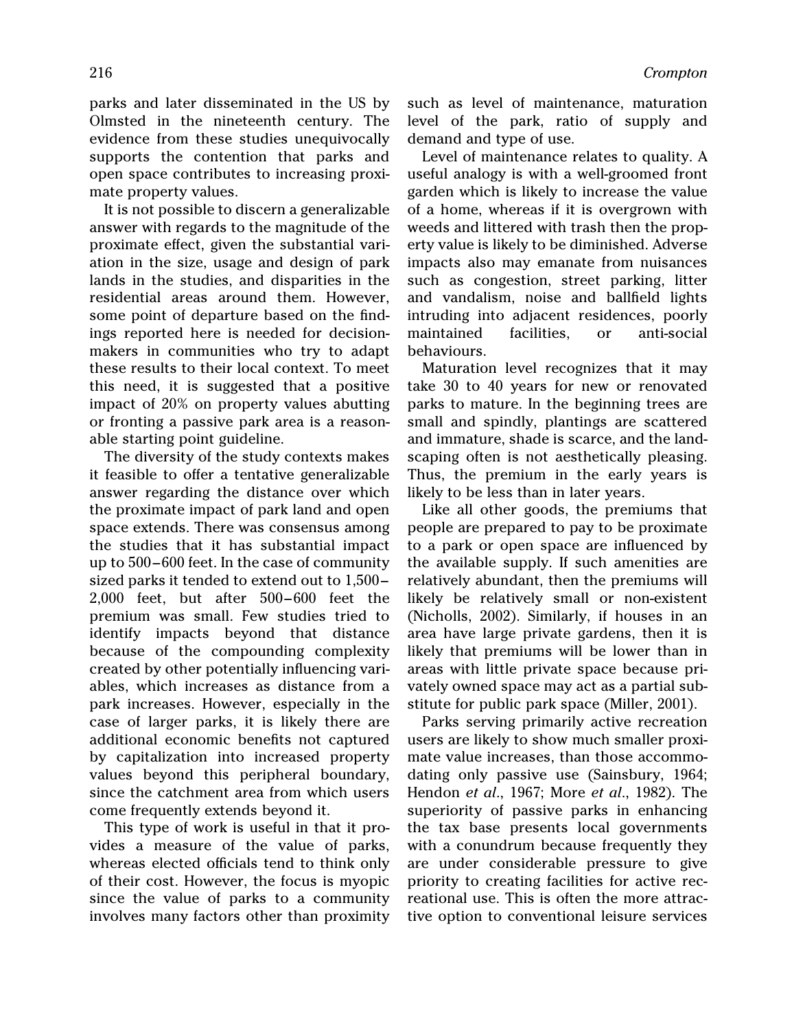parks and later disseminated in the US by Olmsted in the nineteenth century. The evidence from these studies unequivocally supports the contention that parks and open space contributes to increasing proximate property values.

It is not possible to discern a generalizable answer with regards to the magnitude of the proximate effect, given the substantial variation in the size, usage and design of park lands in the studies, and disparities in the residential areas around them. However, some point of departure based on the findings reported here is needed for decisionmakers in communities who try to adapt these results to their local context. To meet this need, it is suggested that a positive impact of 20% on property values abutting or fronting a passive park area is a reasonable starting point guideline.

The diversity of the study contexts makes it feasible to offer a tentative generalizable answer regarding the distance over which the proximate impact of park land and open space extends. There was consensus among the studies that it has substantial impact up to 500–600 feet. In the case of community sized parks it tended to extend out to 1,500– 2,000 feet, but after 500–600 feet the premium was small. Few studies tried to identify impacts beyond that distance because of the compounding complexity created by other potentially influencing variables, which increases as distance from a park increases. However, especially in the case of larger parks, it is likely there are additional economic benefits not captured by capitalization into increased property values beyond this peripheral boundary, since the catchment area from which users come frequently extends beyond it.

This type of work is useful in that it provides a measure of the value of parks, whereas elected officials tend to think only of their cost. However, the focus is myopic since the value of parks to a community involves many factors other than proximity such as level of maintenance, maturation level of the park, ratio of supply and demand and type of use.

Level of maintenance relates to quality. A useful analogy is with a well-groomed front garden which is likely to increase the value of a home, whereas if it is overgrown with weeds and littered with trash then the property value is likely to be diminished. Adverse impacts also may emanate from nuisances such as congestion, street parking, litter and vandalism, noise and ballfield lights intruding into adjacent residences, poorly maintained facilities, or anti-social behaviours.

Maturation level recognizes that it may take 30 to 40 years for new or renovated parks to mature. In the beginning trees are small and spindly, plantings are scattered and immature, shade is scarce, and the landscaping often is not aesthetically pleasing. Thus, the premium in the early years is likely to be less than in later years.

Like all other goods, the premiums that people are prepared to pay to be proximate to a park or open space are influenced by the available supply. If such amenities are relatively abundant, then the premiums will likely be relatively small or non-existent (Nicholls, 2002). Similarly, if houses in an area have large private gardens, then it is likely that premiums will be lower than in areas with little private space because privately owned space may act as a partial substitute for public park space (Miller, 2001).

Parks serving primarily active recreation users are likely to show much smaller proximate value increases, than those accommodating only passive use (Sainsbury, 1964; Hendon et al., 1967; More et al., 1982). The superiority of passive parks in enhancing the tax base presents local governments with a conundrum because frequently they are under considerable pressure to give priority to creating facilities for active recreational use. This is often the more attractive option to conventional leisure services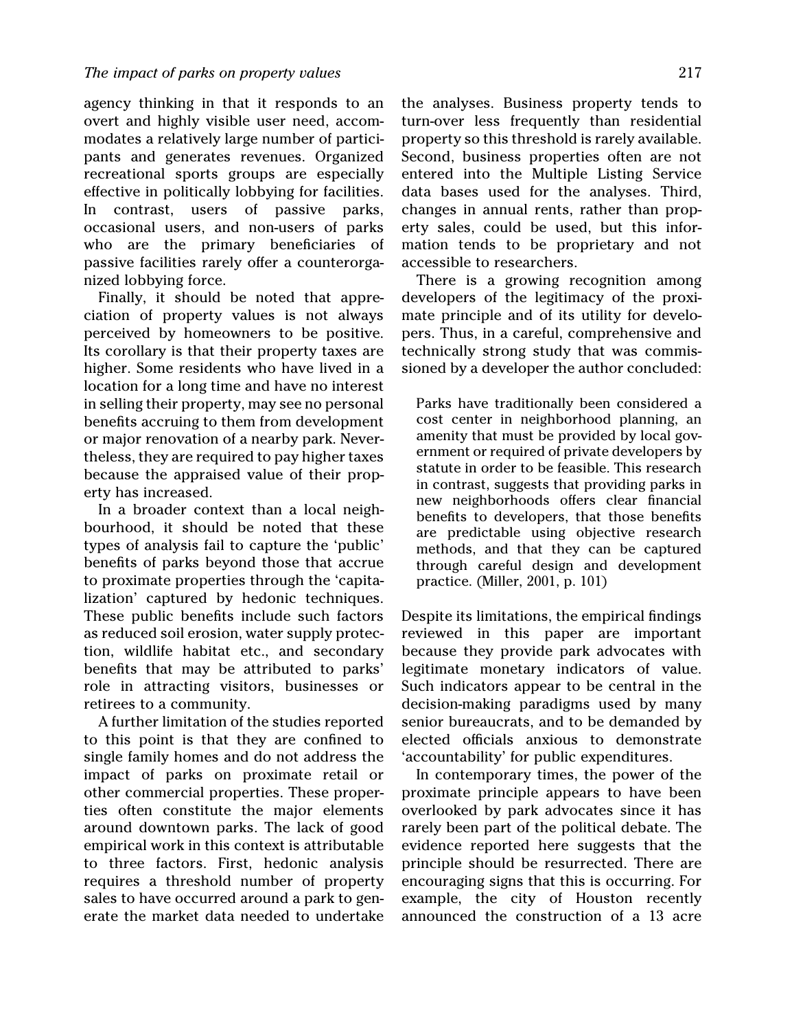agency thinking in that it responds to an overt and highly visible user need, accommodates a relatively large number of participants and generates revenues. Organized recreational sports groups are especially effective in politically lobbying for facilities. In contrast, users of passive parks, occasional users, and non-users of parks who are the primary beneficiaries of passive facilities rarely offer a counterorganized lobbying force.

Finally, it should be noted that appreciation of property values is not always perceived by homeowners to be positive. Its corollary is that their property taxes are higher. Some residents who have lived in a location for a long time and have no interest in selling their property, may see no personal benefits accruing to them from development or major renovation of a nearby park. Nevertheless, they are required to pay higher taxes because the appraised value of their property has increased.

In a broader context than a local neighbourhood, it should be noted that these types of analysis fail to capture the 'public' benefits of parks beyond those that accrue to proximate properties through the 'capitalization' captured by hedonic techniques. These public benefits include such factors as reduced soil erosion, water supply protection, wildlife habitat etc., and secondary benefits that may be attributed to parks' role in attracting visitors, businesses or retirees to a community.

A further limitation of the studies reported to this point is that they are confined to single family homes and do not address the impact of parks on proximate retail or other commercial properties. These properties often constitute the major elements around downtown parks. The lack of good empirical work in this context is attributable to three factors. First, hedonic analysis requires a threshold number of property sales to have occurred around a park to generate the market data needed to undertake

the analyses. Business property tends to turn-over less frequently than residential property so this threshold is rarely available. Second, business properties often are not entered into the Multiple Listing Service data bases used for the analyses. Third, changes in annual rents, rather than property sales, could be used, but this information tends to be proprietary and not accessible to researchers.

There is a growing recognition among developers of the legitimacy of the proximate principle and of its utility for developers. Thus, in a careful, comprehensive and technically strong study that was commissioned by a developer the author concluded:

Parks have traditionally been considered a cost center in neighborhood planning, an amenity that must be provided by local government or required of private developers by statute in order to be feasible. This research in contrast, suggests that providing parks in new neighborhoods offers clear financial benefits to developers, that those benefits are predictable using objective research methods, and that they can be captured through careful design and development practice. (Miller, 2001, p. 101)

Despite its limitations, the empirical findings reviewed in this paper are important because they provide park advocates with legitimate monetary indicators of value. Such indicators appear to be central in the decision-making paradigms used by many senior bureaucrats, and to be demanded by elected officials anxious to demonstrate 'accountability' for public expenditures.

In contemporary times, the power of the proximate principle appears to have been overlooked by park advocates since it has rarely been part of the political debate. The evidence reported here suggests that the principle should be resurrected. There are encouraging signs that this is occurring. For example, the city of Houston recently announced the construction of a 13 acre